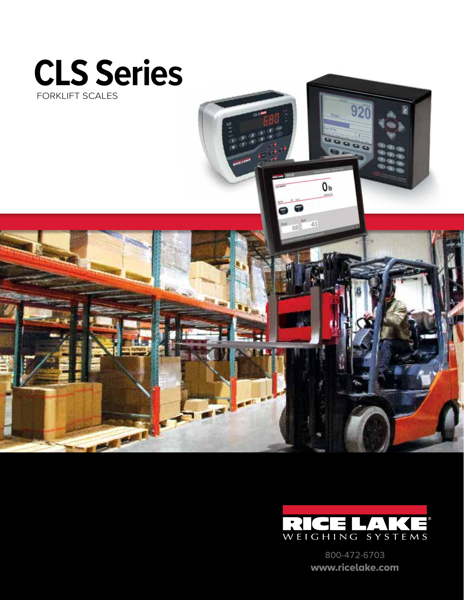

**PORT !!** 



 $920$ 

0000

 $0<sub>b</sub>$ 

6

 $00$ 

 $0.1$ 

800-472-6703 www.ricelake.com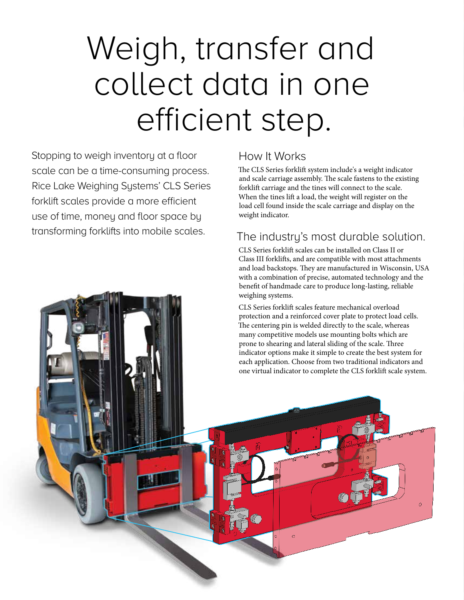# Weigh, transfer and collect data in one efficient step.

Stopping to weigh inventory at a floor scale can be a time-consuming process. Rice Lake Weighing Systems' CLS Series forklift scales provide a more efficient use of time, money and floor space by transforming forklifts into mobile scales.

#### How It Works

The CLS Series forklift system include's a weight indicator and scale carriage assembly. The scale fastens to the existing forklift carriage and the tines will connect to the scale. When the tines lift a load, the weight will register on the load cell found inside the scale carriage and display on the weight indicator.

#### The industry's most durable solution.

CLS Series forklift scales can be installed on Class II or Class III forklifts, and are compatible with most attachments and load backstops. They are manufactured in Wisconsin, USA with a combination of precise, automated technology and the benefit of handmade care to produce long-lasting, reliable weighing systems.

CLS Series forklift scales feature mechanical overload protection and a reinforced cover plate to protect load cells. The centering pin is welded directly to the scale, whereas many competitive models use mounting bolts which are prone to shearing and lateral sliding of the scale. Three indicator options make it simple to create the best system for each application. Choose from two traditional indicators and one virtual indicator to complete the CLS forklift scale system.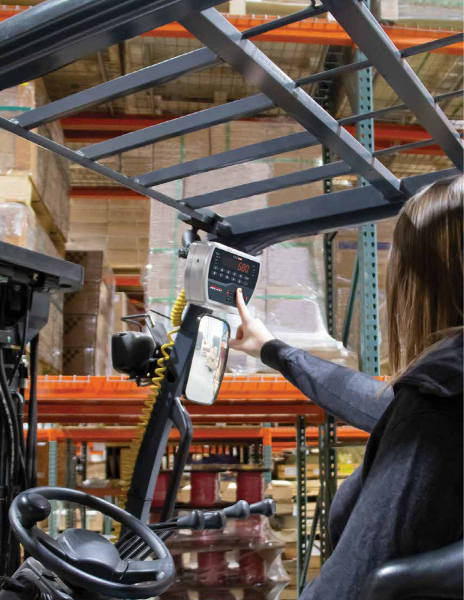